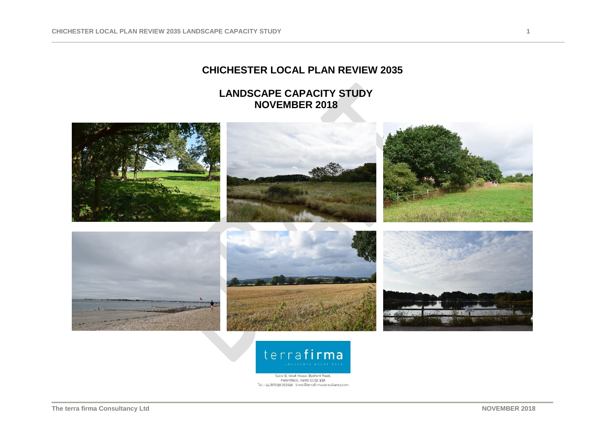# **CHICHESTER LOCAL PLAN REVIEW 2035**

# **LANDSCAPE CAPACITY STUDY NOVEMBER 2018**





Suite B, Ideal House, Bedford Road,<br>Petersfield, Hants GU32 30A Tel: +44 (0)1730 262040 lionel@terrafirmaconsultancy.com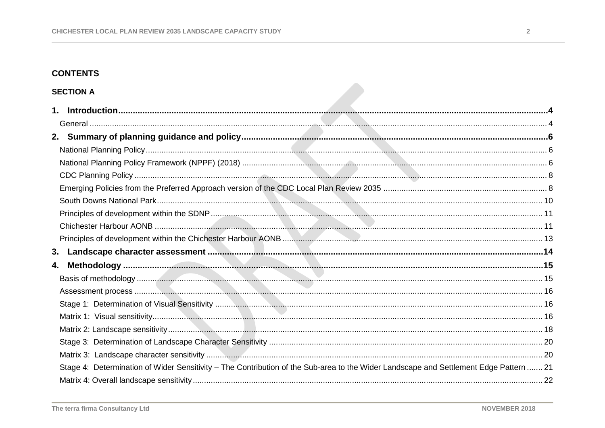# **CONTENTS**

# **SECTION A**

| 4.                                                                                                                                    |  |
|---------------------------------------------------------------------------------------------------------------------------------------|--|
|                                                                                                                                       |  |
|                                                                                                                                       |  |
|                                                                                                                                       |  |
|                                                                                                                                       |  |
|                                                                                                                                       |  |
|                                                                                                                                       |  |
|                                                                                                                                       |  |
| Stage 4: Determination of Wider Sensitivity - The Contribution of the Sub-area to the Wider Landscape and Settlement Edge Pattern  21 |  |
|                                                                                                                                       |  |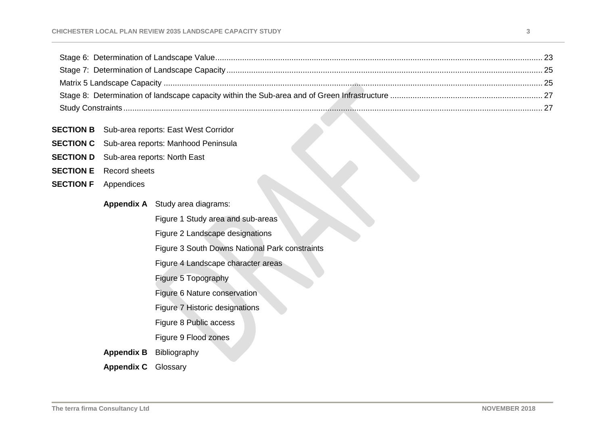| <b>SECTION B</b> | Sub-area reports: East West Corridor |
|------------------|--------------------------------------|
|------------------|--------------------------------------|

- **SECTION C** Sub-area reports: Manhood Peninsula
- **SECTION D** Sub-area reports: North East
- **SECTION E** Record sheets
- **SECTION F** Appendices
	- **Appendix A** Study area diagrams:
		- Figure 1 Study area and sub-areas
		- Figure 2 Landscape designations
		- Figure 3 South Downs National Park constraints
		- Figure 4 Landscape character areas
		- Figure 5 Topography
		- Figure 6 Nature conservation
		- Figure 7 Historic designations
		- Figure 8 Public access
		- Figure 9 Flood zones
	- **Appendix B** Bibliography
	- **Appendix C** Glossary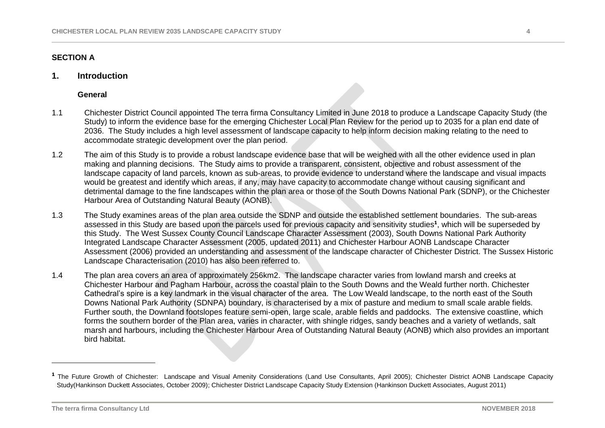# **SECTION A**

## <span id="page-3-0"></span>**1. Introduction**

#### **General**

- <span id="page-3-1"></span>1.1 Chichester District Council appointed The terra firma Consultancy Limited in June 2018 to produce a Landscape Capacity Study (the Study) to inform the evidence base for the emerging Chichester Local Plan Review for the period up to 2035 for a plan end date of 2036. The Study includes a high level assessment of landscape capacity to help inform decision making relating to the need to accommodate strategic development over the plan period.
- 1.2 The aim of this Study is to provide a robust landscape evidence base that will be weighed with all the other evidence used in plan making and planning decisions. The Study aims to provide a transparent, consistent, objective and robust assessment of the landscape capacity of land parcels, known as sub-areas, to provide evidence to understand where the landscape and visual impacts would be greatest and identify which areas, if any, may have capacity to accommodate change without causing significant and detrimental damage to the fine landscapes within the plan area or those of the South Downs National Park (SDNP), or the Chichester Harbour Area of Outstanding Natural Beauty (AONB).
- 1.3 The Study examines areas of the plan area outside the SDNP and outside the established settlement boundaries. The sub-areas assessed in this Study are based upon the parcels used for previous capacity and sensitivity studies**<sup>1</sup>** , which will be superseded by this Study. The West Sussex County Council Landscape Character Assessment (2003), South Downs National Park Authority Integrated Landscape Character Assessment (2005, updated 2011) and Chichester Harbour AONB Landscape Character Assessment (2006) provided an understanding and assessment of the landscape character of Chichester District. The Sussex Historic Landscape Characterisation (2010) has also been referred to.
- 1.4 The plan area covers an area of approximately 256km2. The landscape character varies from lowland marsh and creeks at Chichester Harbour and Pagham Harbour, across the coastal plain to the South Downs and the Weald further north. Chichester Cathedral's spire is a key landmark in the visual character of the area. The Low Weald landscape, to the north east of the South Downs National Park Authority (SDNPA) boundary, is characterised by a mix of pasture and medium to small scale arable fields. Further south, the Downland footslopes feature semi-open, large scale, arable fields and paddocks. The extensive coastline, which forms the southern border of the Plan area, varies in character, with shingle ridges, sandy beaches and a variety of wetlands, salt marsh and harbours, including the Chichester Harbour Area of Outstanding Natural Beauty (AONB) which also provides an important bird habitat.

 $\overline{a}$ 

**<sup>1</sup>** The Future Growth of Chichester: Landscape and Visual Amenity Considerations (Land Use Consultants, April 2005); Chichester District AONB Landscape Capacity Study(Hankinson Duckett Associates, October 2009); Chichester District Landscape Capacity Study Extension (Hankinson Duckett Associates, August 2011)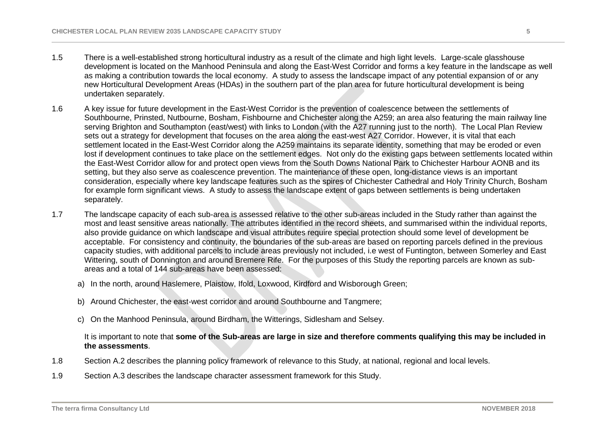- 1.5 There is a well-established strong horticultural industry as a result of the climate and high light levels. Large-scale glasshouse development is located on the Manhood Peninsula and along the East-West Corridor and forms a key feature in the landscape as well as making a contribution towards the local economy. A study to assess the landscape impact of any potential expansion of or any new Horticultural Development Areas (HDAs) in the southern part of the plan area for future horticultural development is being undertaken separately.
- 1.6 A key issue for future development in the East-West Corridor is the prevention of coalescence between the settlements of Southbourne, Prinsted, Nutbourne, Bosham, Fishbourne and Chichester along the A259; an area also featuring the main railway line serving Brighton and Southampton (east/west) with links to London (with the A27 running just to the north). The Local Plan Review sets out a strategy for development that focuses on the area along the east-west A27 Corridor. However, it is vital that each settlement located in the East-West Corridor along the A259 maintains its separate identity, something that may be eroded or even lost if development continues to take place on the settlement edges. Not only do the existing gaps between settlements located within the East-West Corridor allow for and protect open views from the South Downs National Park to Chichester Harbour AONB and its setting, but they also serve as coalescence prevention. The maintenance of these open, long-distance views is an important consideration, especially where key landscape features such as the spires of Chichester Cathedral and Holy Trinity Church, Bosham for example form significant views. A study to assess the landscape extent of gaps between settlements is being undertaken separately.
- 1.7 The landscape capacity of each sub-area is assessed relative to the other sub-areas included in the Study rather than against the most and least sensitive areas nationally. The attributes identified in the record sheets, and summarised within the individual reports, also provide guidance on which landscape and visual attributes require special protection should some level of development be acceptable. For consistency and continuity, the boundaries of the sub-areas are based on reporting parcels defined in the previous capacity studies, with additional parcels to include areas previously not included, i.e west of Funtington, between Somerley and East Wittering, south of Donnington and around Bremere Rife. For the purposes of this Study the reporting parcels are known as subareas and a total of 144 sub-areas have been assessed:
	- a) In the north, around Haslemere, Plaistow, Ifold, Loxwood, Kirdford and Wisborough Green;
	- b) Around Chichester, the east-west corridor and around Southbourne and Tangmere;
	- c) On the Manhood Peninsula, around Birdham, the Witterings, Sidlesham and Selsey.

## It is important to note that **some of the Sub-areas are large in size and therefore comments qualifying this may be included in the assessments**.

- 1.8 Section A.2 describes the planning policy framework of relevance to this Study, at national, regional and local levels.
- 1.9 Section A.3 describes the landscape character assessment framework for this Study.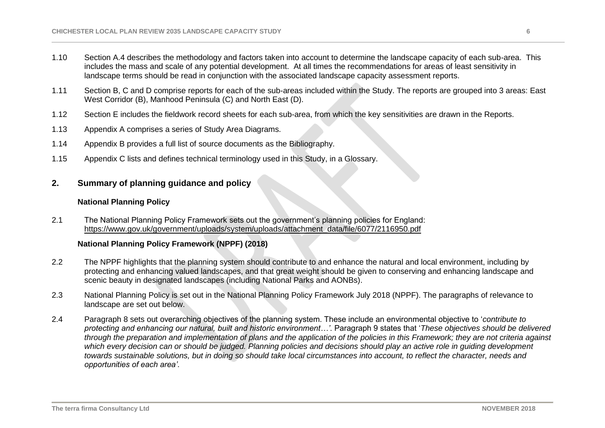- 1.10 Section A.4 describes the methodology and factors taken into account to determine the landscape capacity of each sub-area. This includes the mass and scale of any potential development. At all times the recommendations for areas of least sensitivity in landscape terms should be read in conjunction with the associated landscape capacity assessment reports.
- 1.11 Section B, C and D comprise reports for each of the sub-areas included within the Study. The reports are grouped into 3 areas: East West Corridor (B), Manhood Peninsula (C) and North East (D).
- 1.12 Section E includes the fieldwork record sheets for each sub-area, from which the key sensitivities are drawn in the Reports.
- 1.13 Appendix A comprises a series of Study Area Diagrams.
- 1.14 Appendix B provides a full list of source documents as the Bibliography.
- 1.15 Appendix C lists and defines technical terminology used in this Study, in a Glossary.

## <span id="page-5-0"></span>**2. Summary of planning guidance and policy**

#### **National Planning Policy**

<span id="page-5-1"></span>2.1 The National Planning Policy Framework sets out the government's planning policies for England: [https://www.gov.uk/government/uploads/system/uploads/attachment\\_data/file/6077/2116950.pdf](https://www.gov.uk/government/uploads/system/uploads/attachment_data/file/6077/2116950.pdf)

### **National Planning Policy Framework (NPPF) (2018)**

- <span id="page-5-2"></span>2.2 The NPPF highlights that the planning system should contribute to and enhance the natural and local environment, including by protecting and enhancing valued landscapes, and that great weight should be given to conserving and enhancing landscape and scenic beauty in designated landscapes (including National Parks and AONBs).
- 2.3 National Planning Policy is set out in the National Planning Policy Framework July 2018 (NPPF). The paragraphs of relevance to landscape are set out below.
- 2.4 Paragraph 8 sets out overarching objectives of the planning system. These include an environmental objective to '*contribute to protecting and enhancing our natural, built and historic environment…'*. Paragraph 9 states that '*These objectives should be delivered through the preparation and implementation of plans and the application of the policies in this Framework; they are not criteria against which every decision can or should be judged. Planning policies and decisions should play an active role in guiding development towards sustainable solutions, but in doing so should take local circumstances into account, to reflect the character, needs and opportunities of each area'*.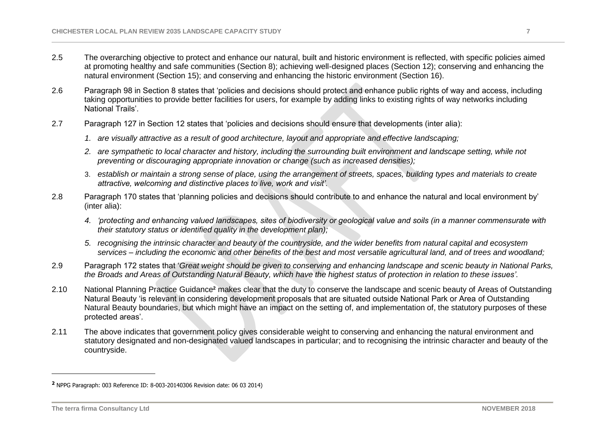- 2.5 The overarching objective to protect and enhance our natural, built and historic environment is reflected, with specific policies aimed at promoting healthy and safe communities (Section 8); achieving well-designed places (Section 12); conserving and enhancing the natural environment (Section 15); and conserving and enhancing the historic environment (Section 16).
- 2.6 Paragraph 98 in Section 8 states that 'policies and decisions should protect and enhance public rights of way and access, including taking opportunities to provide better facilities for users, for example by adding links to existing rights of way networks including National Trails'.
- 2.7 Paragraph 127 in Section 12 states that 'policies and decisions should ensure that developments (inter alia):
	- *1. are visually attractive as a result of good architecture, layout and appropriate and effective landscaping;*
	- *2. are sympathetic to local character and history, including the surrounding built environment and landscape setting, while not preventing or discouraging appropriate innovation or change (such as increased densities);*
	- 3. *establish or maintain a strong sense of place, using the arrangement of streets, spaces, building types and materials to create attractive, welcoming and distinctive places to live, work and visit'*.
- 2.8 Paragraph 170 states that 'planning policies and decisions should contribute to and enhance the natural and local environment by' (inter alia):
	- *4. 'protecting and enhancing valued landscapes, sites of biodiversity or geological value and soils (in a manner commensurate with their statutory status or identified quality in the development plan);*
	- *5. recognising the intrinsic character and beauty of the countryside, and the wider benefits from natural capital and ecosystem services – including the economic and other benefits of the best and most versatile agricultural land, and of trees and woodland;*
- 2.9 Paragraph 172 states that '*Great weight should be given to conserving and enhancing landscape and scenic beauty in National Parks, the Broads and Areas of Outstanding Natural Beauty, which have the highest status of protection in relation to these issues'*.
- 2.10 National Planning Practice Guidance**<sup>2</sup>** makes clear that the duty to conserve the landscape and scenic beauty of Areas of Outstanding Natural Beauty 'is relevant in considering development proposals that are situated outside National Park or Area of Outstanding Natural Beauty boundaries, but which might have an impact on the setting of, and implementation of, the statutory purposes of these protected areas'.
- 2.11 The above indicates that government policy gives considerable weight to conserving and enhancing the natural environment and statutory designated and non-designated valued landscapes in particular; and to recognising the intrinsic character and beauty of the countryside.

 $\overline{a}$ 

**<sup>2</sup>** NPPG Paragraph: 003 Reference ID: 8-003-20140306 Revision date: 06 03 2014)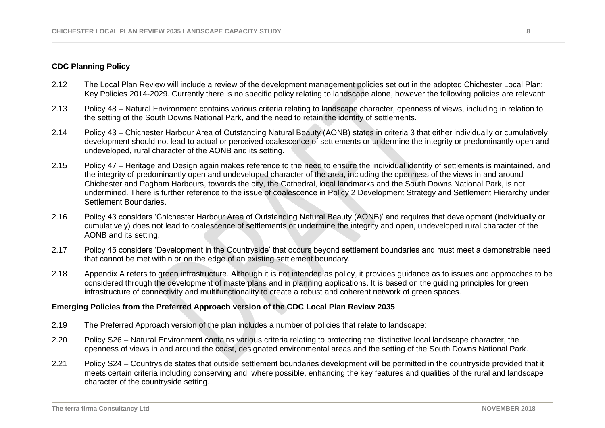### <span id="page-7-0"></span>**CDC Planning Policy**

- 2.12 The Local Plan Review will include a review of the development management policies set out in the adopted Chichester Local Plan: Key Policies 2014-2029. Currently there is no specific policy relating to landscape alone, however the following policies are relevant:
- 2.13 Policy 48 Natural Environment contains various criteria relating to landscape character, openness of views, including in relation to the setting of the South Downs National Park, and the need to retain the identity of settlements.
- 2.14 Policy 43 Chichester Harbour Area of Outstanding Natural Beauty (AONB) states in criteria 3 that either individually or cumulatively development should not lead to actual or perceived coalescence of settlements or undermine the integrity or predominantly open and undeveloped, rural character of the AONB and its setting.
- 2.15 Policy 47 Heritage and Design again makes reference to the need to ensure the individual identity of settlements is maintained, and the integrity of predominantly open and undeveloped character of the area, including the openness of the views in and around Chichester and Pagham Harbours, towards the city, the Cathedral, local landmarks and the South Downs National Park, is not undermined. There is further reference to the issue of coalescence in Policy 2 Development Strategy and Settlement Hierarchy under Settlement Boundaries.
- 2.16 Policy 43 considers 'Chichester Harbour Area of Outstanding Natural Beauty (AONB)' and requires that development (individually or cumulatively) does not lead to coalescence of settlements or undermine the integrity and open, undeveloped rural character of the AONB and its setting.
- 2.17 Policy 45 considers 'Development in the Countryside' that occurs beyond settlement boundaries and must meet a demonstrable need that cannot be met within or on the edge of an existing settlement boundary.
- 2.18 Appendix A refers to green infrastructure. Although it is not intended as policy, it provides guidance as to issues and approaches to be considered through the development of masterplans and in planning applications. It is based on the guiding principles for green infrastructure of connectivity and multifunctionality to create a robust and coherent network of green spaces.

## <span id="page-7-1"></span>**Emerging Policies from the Preferred Approach version of the CDC Local Plan Review 2035**

- 2.19 The Preferred Approach version of the plan includes a number of policies that relate to landscape:
- 2.20 Policy S26 Natural Environment contains various criteria relating to protecting the distinctive local landscape character, the openness of views in and around the coast, designated environmental areas and the setting of the South Downs National Park.
- 2.21 Policy S24 Countryside states that outside settlement boundaries development will be permitted in the countryside provided that it meets certain criteria including conserving and, where possible, enhancing the key features and qualities of the rural and landscape character of the countryside setting.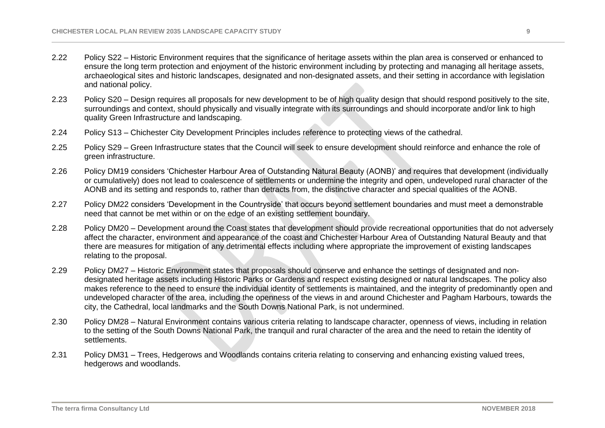- 2.22 Policy S22 Historic Environment requires that the significance of heritage assets within the plan area is conserved or enhanced to ensure the long term protection and enjoyment of the historic environment including by protecting and managing all heritage assets, archaeological sites and historic landscapes, designated and non-designated assets, and their setting in accordance with legislation and national policy.
- 2.23 Policy S20 Design requires all proposals for new development to be of high quality design that should respond positively to the site, surroundings and context, should physically and visually integrate with its surroundings and should incorporate and/or link to high quality Green Infrastructure and landscaping.
- 2.24 Policy S13 Chichester City Development Principles includes reference to protecting views of the cathedral.
- 2.25 Policy S29 Green Infrastructure states that the Council will seek to ensure development should reinforce and enhance the role of green infrastructure.
- 2.26 Policy DM19 considers 'Chichester Harbour Area of Outstanding Natural Beauty (AONB)' and requires that development (individually or cumulatively) does not lead to coalescence of settlements or undermine the integrity and open, undeveloped rural character of the AONB and its setting and responds to, rather than detracts from, the distinctive character and special qualities of the AONB.
- 2.27 Policy DM22 considers 'Development in the Countryside' that occurs beyond settlement boundaries and must meet a demonstrable need that cannot be met within or on the edge of an existing settlement boundary.
- 2.28 Policy DM20 Development around the Coast states that development should provide recreational opportunities that do not adversely affect the character, environment and appearance of the coast and Chichester Harbour Area of Outstanding Natural Beauty and that there are measures for mitigation of any detrimental effects including where appropriate the improvement of existing landscapes relating to the proposal.
- 2.29 Policy DM27 Historic Environment states that proposals should conserve and enhance the settings of designated and nondesignated heritage assets including Historic Parks or Gardens and respect existing designed or natural landscapes. The policy also makes reference to the need to ensure the individual identity of settlements is maintained, and the integrity of predominantly open and undeveloped character of the area, including the openness of the views in and around Chichester and Pagham Harbours, towards the city, the Cathedral, local landmarks and the South Downs National Park, is not undermined.
- 2.30 Policy DM28 Natural Environment contains various criteria relating to landscape character, openness of views, including in relation to the setting of the South Downs National Park, the tranquil and rural character of the area and the need to retain the identity of settlements.
- 2.31 Policy DM31 Trees, Hedgerows and Woodlands contains criteria relating to conserving and enhancing existing valued trees, hedgerows and woodlands.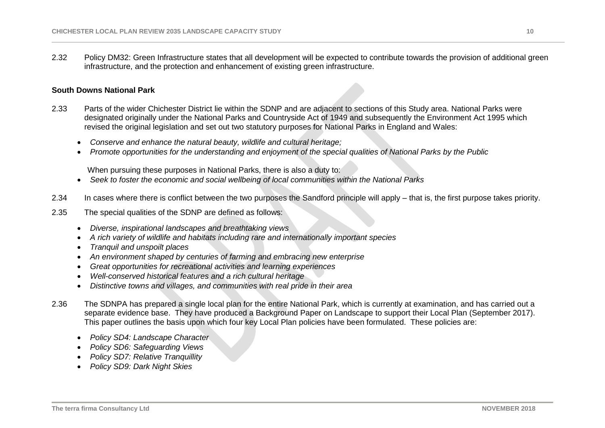2.32 Policy DM32: Green Infrastructure states that all development will be expected to contribute towards the provision of additional green infrastructure, and the protection and enhancement of existing green infrastructure.

#### <span id="page-9-0"></span>**South Downs National Park**

- 2.33 Parts of the wider Chichester District lie within the SDNP and are adjacent to sections of this Study area. National Parks were designated originally under the National Parks and Countryside Act of 1949 and subsequently the Environment Act 1995 which revised the original legislation and set out two statutory purposes for National Parks in England and Wales:
	- *Conserve and enhance the natural beauty, wildlife and cultural heritage;*
	- *Promote opportunities for the understanding and enjoyment of the special qualities of National Parks by the Public*

When pursuing these purposes in National Parks, there is also a duty to:

- *Seek to foster the economic and social wellbeing of local communities within the National Parks*
- 2.34 In cases where there is conflict between the two purposes the Sandford principle will apply that is, the first purpose takes priority.
- 2.35 The special qualities of the SDNP are defined as follows:
	- *Diverse, inspirational landscapes and breathtaking views*
	- *A rich variety of wildlife and habitats including rare and internationally important species*
	- *Tranquil and unspoilt places*
	- *An environment shaped by centuries of farming and embracing new enterprise*
	- *Great opportunities for recreational activities and learning experiences*
	- *Well-conserved historical features and a rich cultural heritage*
	- *Distinctive towns and villages, and communities with real pride in their area*
- 2.36 The SDNPA has prepared a single local plan for the entire National Park, which is currently at examination, and has carried out a separate evidence base. They have produced a Background Paper on Landscape to support their Local Plan (September 2017). This paper outlines the basis upon which four key Local Plan policies have been formulated. These policies are:
	- *Policy SD4: Landscape Character*
	- *Policy SD6: Safeguarding Views*
	- *Policy SD7: Relative Tranquillity*
	- *Policy SD9: Dark Night Skies*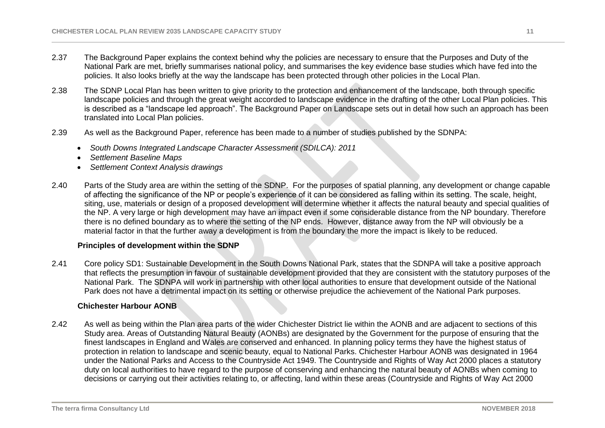- 2.37 The Background Paper explains the context behind why the policies are necessary to ensure that the Purposes and Duty of the National Park are met, briefly summarises national policy, and summarises the key evidence base studies which have fed into the policies. It also looks briefly at the way the landscape has been protected through other policies in the Local Plan.
- 2.38 The SDNP Local Plan has been written to give priority to the protection and enhancement of the landscape, both through specific landscape policies and through the great weight accorded to landscape evidence in the drafting of the other Local Plan policies. This is described as a "landscape led approach". The Background Paper on Landscape sets out in detail how such an approach has been translated into Local Plan policies.
- 2.39 As well as the Background Paper, reference has been made to a number of studies published by the SDNPA:
	- *South Downs Integrated Landscape Character Assessment (SDILCA): 2011*
	- *Settlement Baseline Maps*
	- *Settlement Context Analysis drawings*
- 2.40 Parts of the Study area are within the setting of the SDNP. For the purposes of spatial planning, any development or change capable of affecting the significance of the NP or people's experience of it can be considered as falling within its setting. The scale, height, siting, use, materials or design of a proposed development will determine whether it affects the natural beauty and special qualities of the NP. A very large or high development may have an impact even if some considerable distance from the NP boundary. Therefore there is no defined boundary as to where the setting of the NP ends. However, distance away from the NP will obviously be a material factor in that the further away a development is from the boundary the more the impact is likely to be reduced.

#### **Principles of development within the SDNP**

<span id="page-10-0"></span>2.41 Core policy SD1: Sustainable Development in the South Downs National Park, states that the SDNPA will take a positive approach that reflects the presumption in favour of sustainable development provided that they are consistent with the statutory purposes of the National Park. The SDNPA will work in partnership with other local authorities to ensure that development outside of the National Park does not have a detrimental impact on its setting or otherwise prejudice the achievement of the National Park purposes.

#### **Chichester Harbour AONB**

<span id="page-10-1"></span>2.42 As well as being within the Plan area parts of the wider Chichester District lie within the AONB and are adjacent to sections of this Study area. Areas of Outstanding Natural Beauty (AONBs) are designated by the Government for the purpose of ensuring that the finest landscapes in England and Wales are conserved and enhanced. In planning policy terms they have the highest status of protection in relation to landscape and scenic beauty, equal to National Parks. Chichester Harbour AONB was designated in 1964 under the National Parks and Access to the Countryside Act 1949. The Countryside and Rights of Way Act 2000 places a statutory duty on local authorities to have regard to the purpose of conserving and enhancing the natural beauty of AONBs when coming to decisions or carrying out their activities relating to, or affecting, land within these areas (Countryside and Rights of Way Act 2000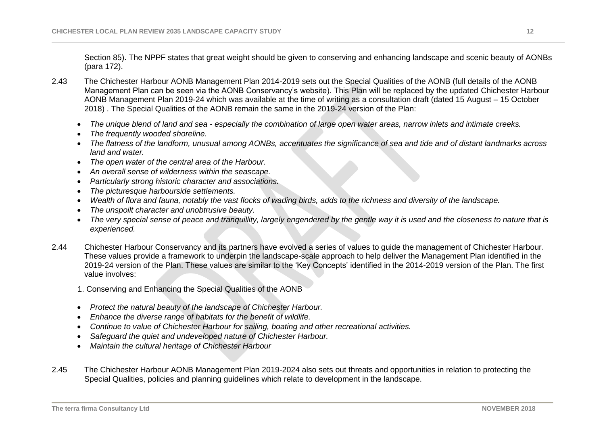Section 85). The NPPF states that great weight should be given to conserving and enhancing landscape and scenic beauty of AONBs (para 172).

- 2.43 The Chichester Harbour AONB Management Plan 2014-2019 sets out the Special Qualities of the AONB (full details of the AONB Management Plan can be seen via the AONB Conservancy's website). This Plan will be replaced by the updated Chichester Harbour AONB Management Plan 2019-24 which was available at the time of writing as a consultation draft (dated 15 August – 15 October 2018) . The Special Qualities of the AONB remain the same in the 2019-24 version of the Plan:
	- *The unique blend of land and sea - especially the combination of large open water areas, narrow inlets and intimate creeks.*
	- *The frequently wooded shoreline.*
	- *The flatness of the landform, unusual among AONBs, accentuates the significance of sea and tide and of distant landmarks across land and water.*
	- *The open water of the central area of the Harbour.*
	- *An overall sense of wilderness within the seascape.*
	- *Particularly strong historic character and associations.*
	- *The picturesque harbourside settlements.*
	- *Wealth of flora and fauna, notably the vast flocks of wading birds, adds to the richness and diversity of the landscape.*
	- *The unspoilt character and unobtrusive beauty.*
	- The very special sense of peace and tranquillity, largely engendered by the gentle way it is used and the closeness to nature that is *experienced.*
- 2.44 Chichester Harbour Conservancy and its partners have evolved a series of values to guide the management of Chichester Harbour. These values provide a framework to underpin the landscape-scale approach to help deliver the Management Plan identified in the 2019-24 version of the Plan. These values are similar to the 'Key Concepts' identified in the 2014-2019 version of the Plan. The first value involves:
	- 1. Conserving and Enhancing the Special Qualities of the AONB
	- *Protect the natural beauty of the landscape of Chichester Harbour.*
	- *Enhance the diverse range of habitats for the benefit of wildlife.*
	- *Continue to value of Chichester Harbour for sailing, boating and other recreational activities.*
	- *Safeguard the quiet and undeveloped nature of Chichester Harbour.*
	- *Maintain the cultural heritage of Chichester Harbour*
- 2.45 The Chichester Harbour AONB Management Plan 2019-2024 also sets out threats and opportunities in relation to protecting the Special Qualities, policies and planning guidelines which relate to development in the landscape.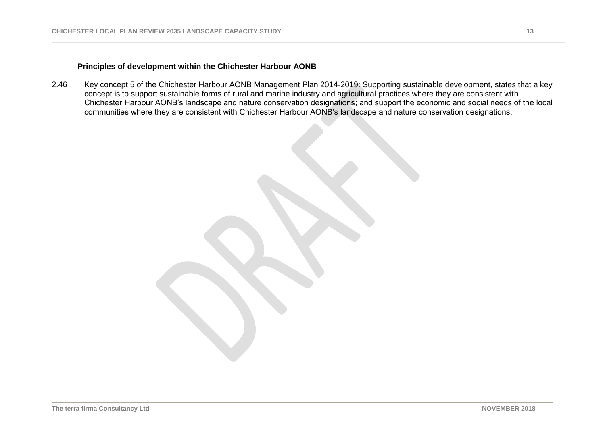## **Principles of development within the Chichester Harbour AONB**

<span id="page-12-0"></span>2.46 Key concept 5 of the Chichester Harbour AONB Management Plan 2014-2019: Supporting sustainable development, states that a key concept is to support sustainable forms of rural and marine industry and agricultural practices where they are consistent with Chichester Harbour AONB's landscape and nature conservation designations; and support the economic and social needs of the local communities where they are consistent with Chichester Harbour AONB's landscape and nature conservation designations.

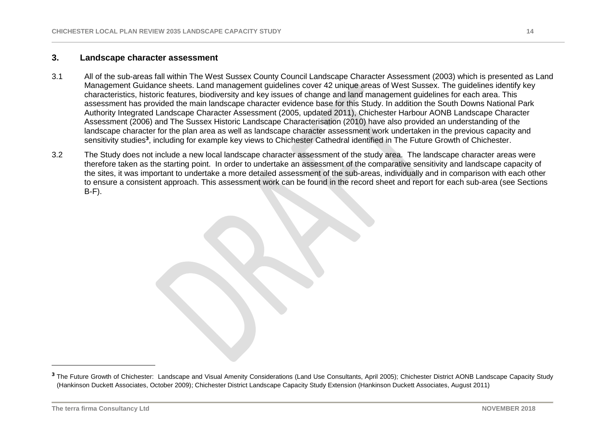# <span id="page-13-0"></span>**3. Landscape character assessment**

- 3.1 All of the sub-areas fall within The West Sussex County Council Landscape Character Assessment (2003) which is presented as Land Management Guidance sheets. Land management guidelines cover 42 unique areas of West Sussex. The guidelines identify key characteristics, historic features, biodiversity and key issues of change and land management guidelines for each area. This assessment has provided the main landscape character evidence base for this Study. In addition the South Downs National Park Authority Integrated Landscape Character Assessment (2005, updated 2011), Chichester Harbour AONB Landscape Character Assessment (2006) and The Sussex Historic Landscape Characterisation (2010) have also provided an understanding of the landscape character for the plan area as well as landscape character assessment work undertaken in the previous capacity and sensitivity studies<sup>3</sup>, including for example key views to Chichester Cathedral identified in The Future Growth of Chichester.
- 3.2 The Study does not include a new local landscape character assessment of the study area. The landscape character areas were therefore taken as the starting point. In order to undertake an assessment of the comparative sensitivity and landscape capacity of the sites, it was important to undertake a more detailed assessment of the sub-areas, individually and in comparison with each other to ensure a consistent approach. This assessment work can be found in the record sheet and report for each sub-area (see Sections B-F).

 $\overline{a}$ 

**<sup>3</sup>** The Future Growth of Chichester: Landscape and Visual Amenity Considerations (Land Use Consultants, April 2005); Chichester District AONB Landscape Capacity Study (Hankinson Duckett Associates, October 2009); Chichester District Landscape Capacity Study Extension (Hankinson Duckett Associates, August 2011)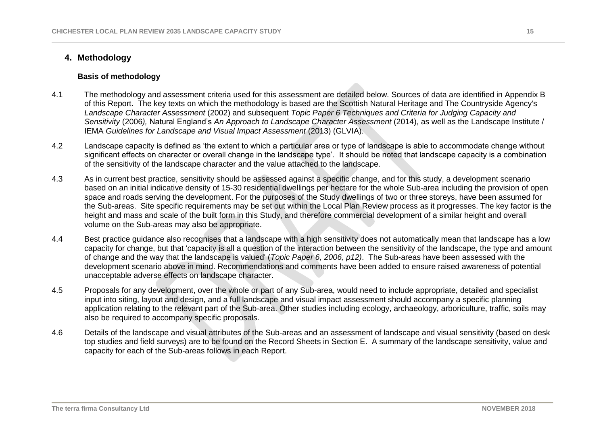## <span id="page-14-0"></span>**4. Methodology**

#### **Basis of methodology**

- <span id="page-14-1"></span>4.1 The methodology and assessment criteria used for this assessment are detailed below. Sources of data are identified in Appendix B of this Report. The key texts on which the methodology is based are the Scottish Natural Heritage and The Countryside Agency's *Landscape Character Assessment* (2002) and subsequent *Topic Paper 6 Techniques and Criteria for Judging Capacity and Sensitivity* (2006*),* Natural England's *An Approach to Landscape Character Assessment* (2014), as well as the Landscape Institute / **IEMA Guidelines for Landscape and Visual Impact Assessment (2013) (GLVIA).**
- 4.2 Landscape capacity is defined as 'the extent to which a particular area or type of landscape is able to accommodate change without significant effects on character or overall change in the landscape type'. It should be noted that landscape capacity is a combination of the sensitivity of the landscape character and the value attached to the landscape.
- 4.3 As in current best practice, sensitivity should be assessed against a specific change, and for this study, a development scenario based on an initial indicative density of 15-30 residential dwellings per hectare for the whole Sub-area including the provision of open space and roads serving the development. For the purposes of the Study dwellings of two or three storeys, have been assumed for the Sub-areas. Site specific requirements may be set out within the Local Plan Review process as it progresses. The key factor is the height and mass and scale of the built form in this Study, and therefore commercial development of a similar height and overall volume on the Sub-areas may also be appropriate.
- 4.4 Best practice guidance also recognises that a landscape with a high sensitivity does not automatically mean that landscape has a low capacity for change, but that 'capacity is all a question of the interaction between the sensitivity of the landscape, the type and amount of change and the way that the landscape is valued' (*Topic Paper 6, 2006, p12)*. The Sub-areas have been assessed with the development scenario above in mind. Recommendations and comments have been added to ensure raised awareness of potential unacceptable adverse effects on landscape character.
- 4.5 Proposals for any development, over the whole or part of any Sub-area, would need to include appropriate, detailed and specialist input into siting, layout and design, and a full landscape and visual impact assessment should accompany a specific planning application relating to the relevant part of the Sub-area. Other studies including ecology, archaeology, arboriculture, traffic, soils may also be required to accompany specific proposals.
- 4.6 Details of the landscape and visual attributes of the Sub-areas and an assessment of landscape and visual sensitivity (based on desk top studies and field surveys) are to be found on the Record Sheets in Section E. A summary of the landscape sensitivity, value and capacity for each of the Sub-areas follows in each Report.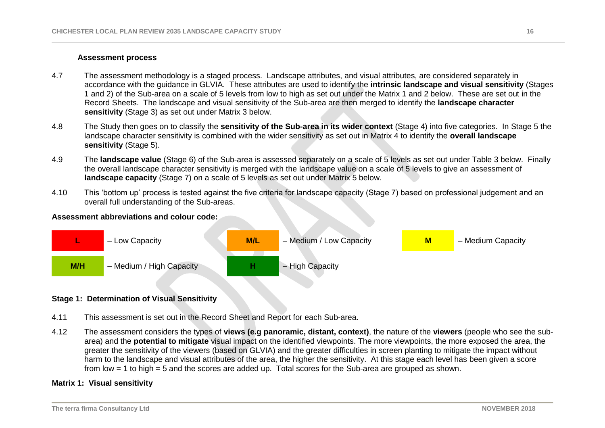#### **Assessment process**

- <span id="page-15-0"></span>4.7 The assessment methodology is a staged process. Landscape attributes, and visual attributes, are considered separately in accordance with the guidance in GLVIA. These attributes are used to identify the **intrinsic landscape and visual sensitivity** (Stages 1 and 2) of the Sub-area on a scale of 5 levels from low to high as set out under the Matrix 1 and 2 below. These are set out in the Record Sheets. The landscape and visual sensitivity of the Sub-area are then merged to identify the **landscape character sensitivity** (Stage 3) as set out under Matrix 3 below.
- 4.8 The Study then goes on to classify the **sensitivity of the Sub-area in its wider context** (Stage 4) into five categories. In Stage 5 the landscape character sensitivity is combined with the wider sensitivity as set out in Matrix 4 to identify the **overall landscape sensitivity** (Stage 5).
- 4.9 The **landscape value** (Stage 6) of the Sub-area is assessed separately on a scale of 5 levels as set out under Table 3 below. Finally the overall landscape character sensitivity is merged with the landscape value on a scale of 5 levels to give an assessment of **landscape capacity** (Stage 7) on a scale of 5 levels as set out under Matrix 5 below.
- 4.10 This 'bottom up' process is tested against the five criteria for landscape capacity (Stage 7) based on professional judgement and an overall full understanding of the Sub-areas.

### **Assessment abbreviations and colour code:**



### <span id="page-15-1"></span>**Stage 1: Determination of Visual Sensitivity**

- 4.11 This assessment is set out in the Record Sheet and Report for each Sub-area.
- 4.12 The assessment considers the types of **views (e.g panoramic, distant, context)**, the nature of the **viewers** (people who see the subarea) and the **potential to mitigate** visual impact on the identified viewpoints. The more viewpoints, the more exposed the area, the greater the sensitivity of the viewers (based on GLVIA) and the greater difficulties in screen planting to mitigate the impact without harm to the landscape and visual attributes of the area, the higher the sensitivity. At this stage each level has been given a score from low = 1 to high = 5 and the scores are added up. Total scores for the Sub-area are grouped as shown.

#### <span id="page-15-2"></span>**Matrix 1: Visual sensitivity**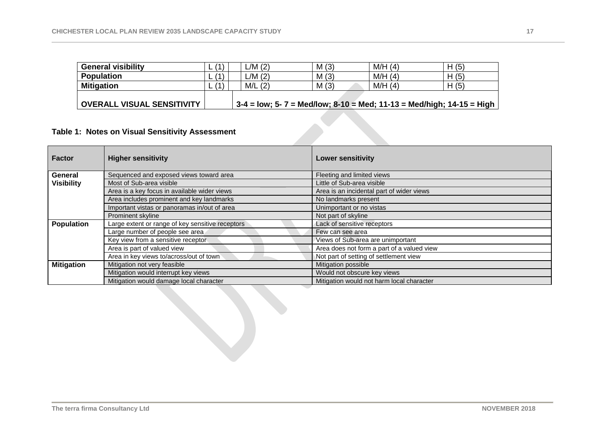| <b>General visibility</b>  | (1)  | L/M(2)     | M(3)                                                                  | M/H(4) | H(5) |  |  |
|----------------------------|------|------------|-----------------------------------------------------------------------|--------|------|--|--|
| <b>Population</b>          | 71 I | L/M(2)     | M(3)                                                                  | M/H(4) | H(5) |  |  |
| <b>Mitigation</b>          | 71 I | M/L<br>(2) | M(3)                                                                  | M/H(4) | H(5) |  |  |
|                            |      |            |                                                                       |        |      |  |  |
| OVERALL VISUAL SENSITIVITY |      |            | 3-4 = low; 5- 7 = Med/low; 8-10 = Med; 11-13 = Med/high; 14-15 = High |        |      |  |  |

# **Table 1: Notes on Visual Sensitivity Assessment**

| Factor            | <b>Higher sensitivity</b>                        | <b>Lower sensitivity</b>                   |
|-------------------|--------------------------------------------------|--------------------------------------------|
| General           | Sequenced and exposed views toward area          | Fleeting and limited views                 |
| <b>Visibility</b> | Most of Sub-area visible                         | Little of Sub-area visible                 |
|                   | Area is a key focus in available wider views     | Area is an incidental part of wider views  |
|                   | Area includes prominent and key landmarks        | No landmarks present                       |
|                   | Important vistas or panoramas in/out of area     | Unimportant or no vistas                   |
|                   | Prominent skyline                                | Not part of skyline                        |
| <b>Population</b> | Large extent or range of key sensitive receptors | Lack of sensitive receptors                |
|                   | Large number of people see area                  | Few can see area                           |
|                   | Key view from a sensitive receptor               | Views of Sub-area are unimportant          |
|                   | Area is part of valued view                      | Area does not form a part of a valued view |
|                   | Area in key views to/across/out of town          | Not part of setting of settlement view     |
| <b>Mitigation</b> | Mitigation not very feasible                     | Mitigation possible                        |
|                   | Mitigation would interrupt key views             | Would not obscure key views                |
|                   | Mitigation would damage local character          | Mitigation would not harm local character  |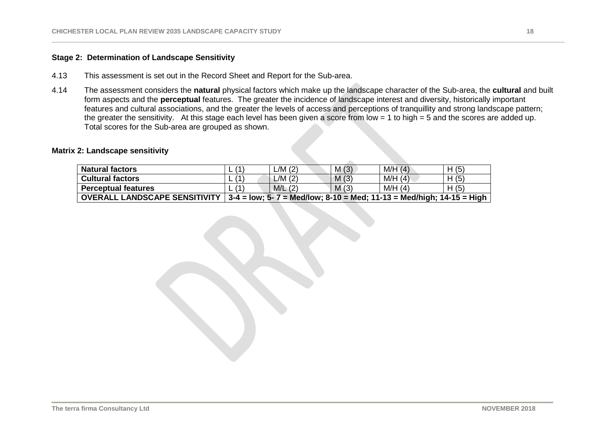## **Stage 2: Determination of Landscape Sensitivity**

- 4.13 This assessment is set out in the Record Sheet and Report for the Sub-area.
- 4.14 The assessment considers the **natural** physical factors which make up the landscape character of the Sub-area, the **cultural** and built form aspects and the **perceptual** features. The greater the incidence of landscape interest and diversity, historically important features and cultural associations, and the greater the levels of access and perceptions of tranquillity and strong landscape pattern; the greater the sensitivity. At this stage each level has been given a score from low = 1 to high = 5 and the scores are added up. Total scores for the Sub-area are grouped as shown.

#### <span id="page-17-0"></span>**Matrix 2: Landscape sensitivity**

| <b>Natural factors</b>               | (1  | $-M(2)$ | M(3) | M/H(4)                                                                         | H(5) |
|--------------------------------------|-----|---------|------|--------------------------------------------------------------------------------|------|
| <b>Cultural factors</b>              | (1) | $-M(2)$ | M(3) | M/H(4)                                                                         | H(5) |
| <b>Perceptual features</b>           | 11  | M/L(2)  | M(3) | M/H(4)                                                                         | H(5) |
| <b>OVERALL LANDSCAPE SENSITIVITY</b> |     |         |      | $3-4 =$ low; $5-7 =$ Med/low; $8-10 =$ Med; $11-13 =$ Med/high; $14-15 =$ High |      |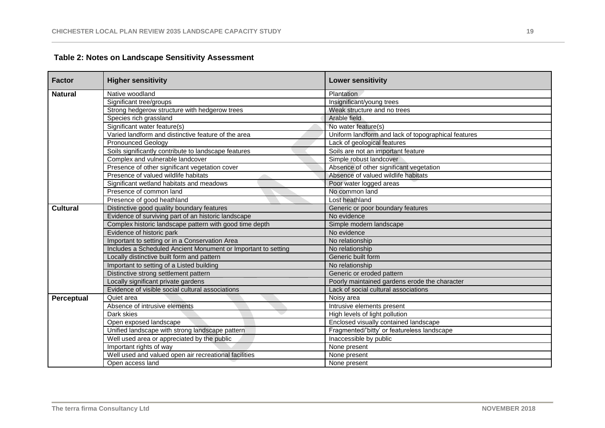| <b>Factor</b>   | <b>Higher sensitivity</b>                                     | <b>Lower sensitivity</b>                            |
|-----------------|---------------------------------------------------------------|-----------------------------------------------------|
| <b>Natural</b>  | Native woodland                                               | Plantation                                          |
|                 | Significant tree/groups                                       | Insignificant/young trees                           |
|                 | Strong hedgerow structure with hedgerow trees                 | Weak structure and no trees                         |
|                 | Species rich grassland                                        | Arable field                                        |
|                 | Significant water feature(s)                                  | No water feature(s)                                 |
|                 | Varied landform and distinctive feature of the area           | Uniform landform and lack of topographical features |
|                 | <b>Pronounced Geology</b>                                     | Lack of geological features                         |
|                 | Soils significantly contribute to landscape features          | Soils are not an important feature                  |
|                 | Complex and vulnerable landcover                              | Simple robust landcover                             |
|                 | Presence of other significant vegetation cover                | Absence of other significant vegetation             |
|                 | Presence of valued wildlife habitats                          | Absence of valued wildlife habitats                 |
|                 | Significant wetland habitats and meadows                      | Poor water logged areas                             |
|                 | Presence of common land                                       | No common land                                      |
|                 | Presence of good heathland                                    | Lost heathland                                      |
| <b>Cultural</b> | Distinctive good quality boundary features                    | Generic or poor boundary features                   |
|                 | Evidence of surviving part of an historic landscape           | No evidence                                         |
|                 | Complex historic landscape pattern with good time depth       | Simple modern landscape                             |
|                 | Evidence of historic park                                     | No evidence                                         |
|                 | Important to setting or in a Conservation Area                | No relationship                                     |
|                 | Includes a Scheduled Ancient Monument or Important to setting | No relationship                                     |
|                 | Locally distinctive built form and pattern                    | Generic built form                                  |
|                 | Important to setting of a Listed building                     | No relationship                                     |
|                 | Distinctive strong settlement pattern                         | Generic or eroded pattern                           |
|                 | Locally significant private gardens                           | Poorly maintained gardens erode the character       |
|                 | Evidence of visible social cultural associations              | Lack of social cultural associations                |
| Perceptual      | Quiet area                                                    | Noisy area                                          |
|                 | Absence of intrusive elements                                 | Intrusive elements present                          |
|                 | Dark skies                                                    | High levels of light pollution                      |
|                 | Open exposed landscape                                        | Enclosed visually contained landscape               |
|                 | Unified landscape with strong landscape pattern               | Fragmented/'bitty' or featureless landscape         |
|                 | Well used area or appreciated by the public                   | Inaccessible by public                              |
|                 | Important rights of way                                       | None present                                        |
|                 | Well used and valued open air recreational facilities         | None present                                        |
|                 | Open access land                                              | None present                                        |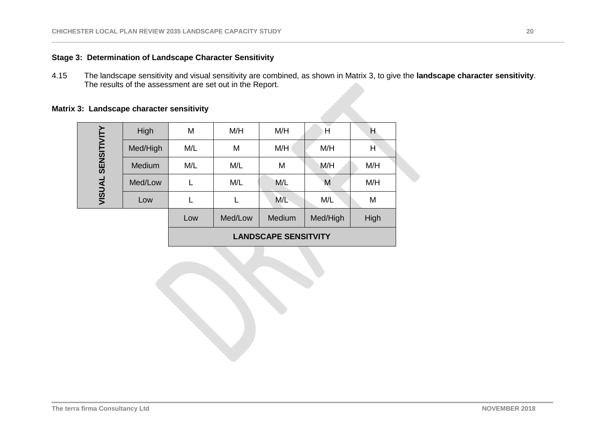# <span id="page-19-0"></span>**Stage 3: Determination of Landscape Character Sensitivity**

4.15 The landscape sensitivity and visual sensitivity are combined, as shown in Matrix 3, to give the **landscape character sensitivity**. The results of the assessment are set out in the Report.

# <span id="page-19-1"></span>**Matrix 3: Landscape character sensitivity**

|               | High                        | M   | M/H     | M/H    | H        | н    |
|---------------|-----------------------------|-----|---------|--------|----------|------|
|               |                             |     |         |        |          |      |
|               | Med/High                    | M/L | M       | M/H    | M/H      | H    |
| SENSITIVITY   | Medium                      | M/L | M/L     | M      | M/H      | M/H  |
| <b>VISUAL</b> | Med/Low                     |     | M/L     | M/L    | M        | M/H  |
|               | Low                         |     |         | M/L    | M/L      | M    |
|               |                             | Low | Med/Low | Medium | Med/High | High |
|               | <b>LANDSCAPE SENSITVITY</b> |     |         |        |          |      |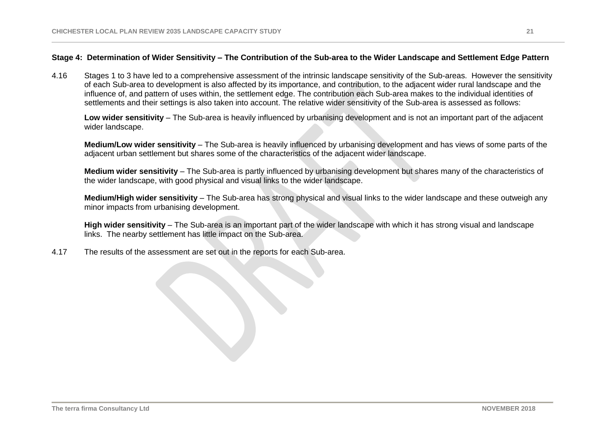## <span id="page-20-0"></span>**Stage 4: Determination of Wider Sensitivity – The Contribution of the Sub-area to the Wider Landscape and Settlement Edge Pattern**

4.16 Stages 1 to 3 have led to a comprehensive assessment of the intrinsic landscape sensitivity of the Sub-areas. However the sensitivity of each Sub-area to development is also affected by its importance, and contribution, to the adjacent wider rural landscape and the influence of, and pattern of uses within, the settlement edge. The contribution each Sub-area makes to the individual identities of settlements and their settings is also taken into account. The relative wider sensitivity of the Sub-area is assessed as follows:

**Low wider sensitivity** – The Sub-area is heavily influenced by urbanising development and is not an important part of the adjacent wider landscape.

**Medium/Low wider sensitivity** – The Sub-area is heavily influenced by urbanising development and has views of some parts of the adjacent urban settlement but shares some of the characteristics of the adjacent wider landscape.

**Medium wider sensitivity** – The Sub-area is partly influenced by urbanising development but shares many of the characteristics of the wider landscape, with good physical and visual links to the wider landscape.

**Medium/High wider sensitivity** – The Sub-area has strong physical and visual links to the wider landscape and these outweigh any minor impacts from urbanising development.

**High wider sensitivity** – The Sub-area is an important part of the wider landscape with which it has strong visual and landscape links. The nearby settlement has little impact on the Sub-area.

4.17 The results of the assessment are set out in the reports for each Sub-area.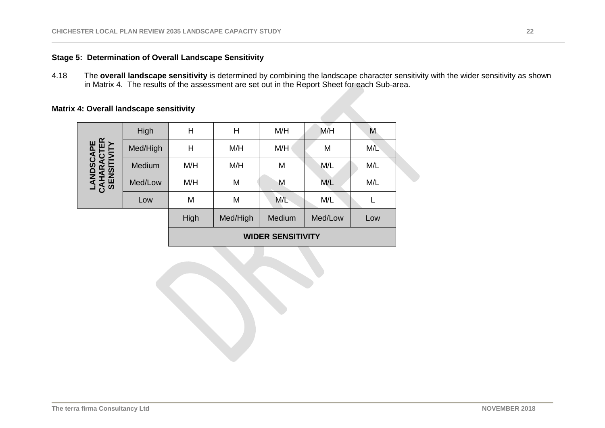# **Stage 5: Determination of Overall Landscape Sensitivity**

4.18 The **overall landscape sensitivity** is determined by combining the landscape character sensitivity with the wider sensitivity as shown in Matrix 4. The results of the assessment are set out in the Report Sheet for each Sub-area.

# <span id="page-21-0"></span>**Matrix 4: Overall landscape sensitivity**

|                                        | High     | H                        | Η        | M/H    | M/H     | M   |
|----------------------------------------|----------|--------------------------|----------|--------|---------|-----|
| LANDSCAPE<br>CAHARACTER<br>SENSITIVITY | Med/High | H                        | M/H      | M/H    | M       | M/L |
|                                        | Medium   | M/H                      | M/H      | M      | M/L     | M/L |
|                                        | Med/Low  | M/H                      | M        | M      | M/L     | M/L |
|                                        | Low      | M                        | M        | M/L    | M/L     |     |
|                                        |          | High                     | Med/High | Medium | Med/Low | Low |
|                                        |          | <b>WIDER SENSITIVITY</b> |          |        |         |     |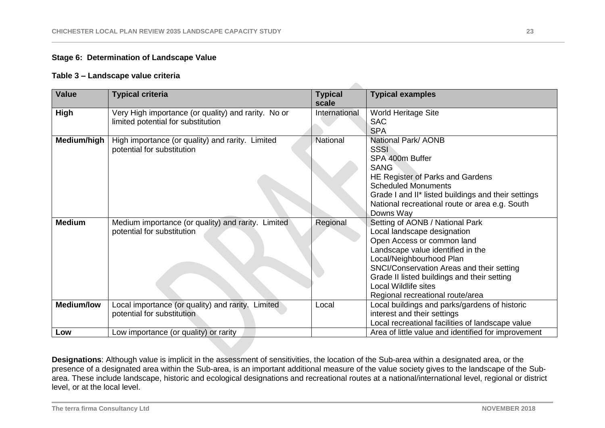# <span id="page-22-0"></span>**Stage 6: Determination of Landscape Value**

### **Table 3 – Landscape value criteria**

| <b>Value</b>      | <b>Typical criteria</b>                                                                   | <b>Typical</b><br>scale | <b>Typical examples</b>                                                                                                                                                                                                                                                                                                      |
|-------------------|-------------------------------------------------------------------------------------------|-------------------------|------------------------------------------------------------------------------------------------------------------------------------------------------------------------------------------------------------------------------------------------------------------------------------------------------------------------------|
| High              | Very High importance (or quality) and rarity. No or<br>limited potential for substitution | International           | <b>World Heritage Site</b><br><b>SAC</b><br><b>SPA</b>                                                                                                                                                                                                                                                                       |
| Medium/high       | High importance (or quality) and rarity. Limited<br>potential for substitution            | National                | National Park/ AONB<br><b>SSSI</b><br>SPA 400m Buffer<br><b>SANG</b><br>HE Register of Parks and Gardens<br><b>Scheduled Monuments</b><br>Grade I and II* listed buildings and their settings<br>National recreational route or area e.g. South<br>Downs Way                                                                 |
| <b>Medium</b>     | Medium importance (or quality) and rarity. Limited<br>potential for substitution          | Regional                | Setting of AONB / National Park<br>Local landscape designation<br>Open Access or common land<br>Landscape value identified in the<br>Local/Neighbourhood Plan<br>SNCI/Conservation Areas and their setting<br>Grade II listed buildings and their setting<br><b>Local Wildlife sites</b><br>Regional recreational route/area |
| <b>Medium/low</b> | Local importance (or quality) and rarity.<br>Limited<br>potential for substitution        | Local                   | Local buildings and parks/gardens of historic<br>interest and their settings<br>Local recreational facilities of landscape value                                                                                                                                                                                             |
| Low               | Low importance (or quality) or rarity                                                     |                         | Area of little value and identified for improvement                                                                                                                                                                                                                                                                          |

**Designations**: Although value is implicit in the assessment of sensitivities, the location of the Sub-area within a designated area, or the presence of a designated area within the Sub-area, is an important additional measure of the value society gives to the landscape of the Subarea. These include landscape, historic and ecological designations and recreational routes at a national/international level, regional or district level, or at the local level.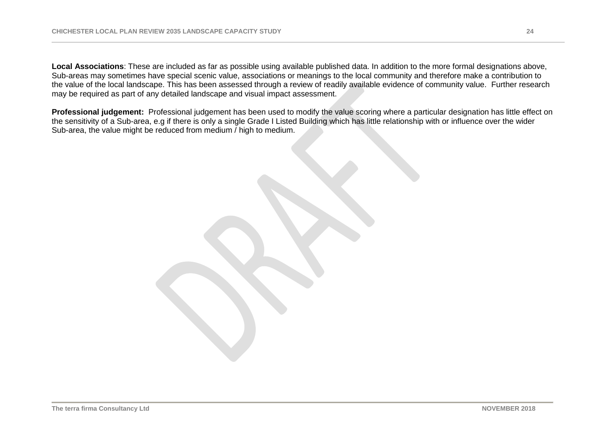**Local Associations**: These are included as far as possible using available published data. In addition to the more formal designations above, Sub-areas may sometimes have special scenic value, associations or meanings to the local community and therefore make a contribution to the value of the local landscape. This has been assessed through a review of readily available evidence of community value. Further research may be required as part of any detailed landscape and visual impact assessment.

**Professional judgement:** Professional judgement has been used to modify the value scoring where a particular designation has little effect on the sensitivity of a Sub-area, e.g if there is only a single Grade I Listed Building which has little relationship with or influence over the wider Sub-area, the value might be reduced from medium / high to medium.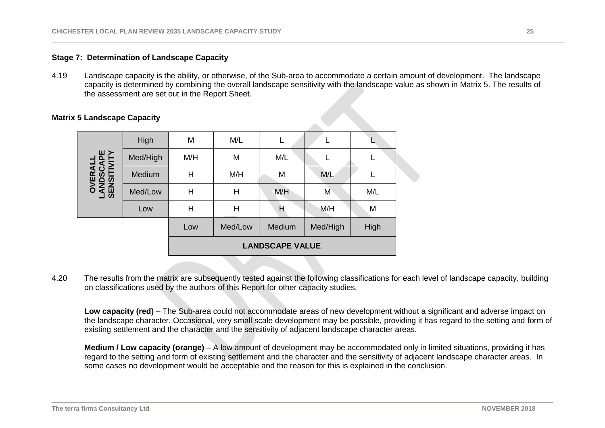## <span id="page-24-0"></span>**Stage 7: Determination of Landscape Capacity**

4.19 Landscape capacity is the ability, or otherwise, of the Sub-area to accommodate a certain amount of development. The landscape capacity is determined by combining the overall landscape sensitivity with the landscape value as shown in Matrix 5. The results of the assessment are set out in the Report Sheet.

|                                             | High     | M                      | M/L     |        |          |      |
|---------------------------------------------|----------|------------------------|---------|--------|----------|------|
|                                             | Med/High | M/H                    | M       | M/L    |          |      |
| <b>OVERALL<br/>ANDSCAPE<br/>SENSITIVITY</b> | Medium   | H                      | M/H     | M      | M/L      |      |
| <b>S</b>                                    | Med/Low  | $\mathsf{H}$           | Н       | M/H    | M        | M/L  |
|                                             | Low      | Η                      | Н       | Н      | M/H      | M    |
|                                             |          | Low                    | Med/Low | Medium | Med/High | High |
|                                             |          | <b>LANDSCAPE VALUE</b> |         |        |          |      |

#### <span id="page-24-1"></span>**Matrix 5 Landscape Capacity**

4.20 The results from the matrix are subsequently tested against the following classifications for each level of landscape capacity, building on classifications used by the authors of this Report for other capacity studies.

Low capacity (red) – The Sub-area could not accommodate areas of new development without a significant and adverse impact on the landscape character. Occasional, very small scale development may be possible, providing it has regard to the setting and form of existing settlement and the character and the sensitivity of adjacent landscape character areas.

**Medium / Low capacity (orange)** – A low amount of development may be accommodated only in limited situations, providing it has regard to the setting and form of existing settlement and the character and the sensitivity of adjacent landscape character areas. In some cases no development would be acceptable and the reason for this is explained in the conclusion.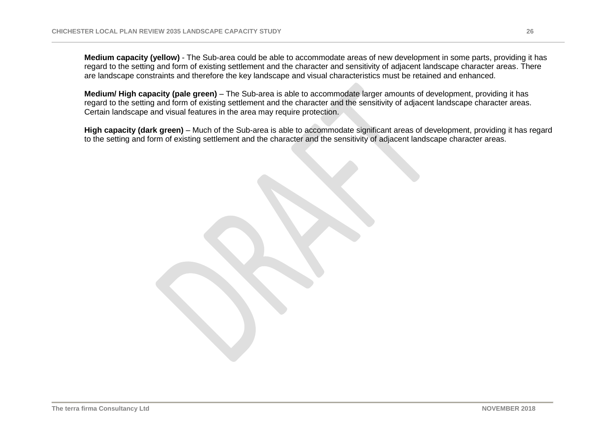**Medium capacity (yellow)** - The Sub-area could be able to accommodate areas of new development in some parts, providing it has regard to the setting and form of existing settlement and the character and sensitivity of adjacent landscape character areas. There are landscape constraints and therefore the key landscape and visual characteristics must be retained and enhanced.

**Medium/ High capacity (pale green)** – The Sub-area is able to accommodate larger amounts of development, providing it has regard to the setting and form of existing settlement and the character and the sensitivity of adjacent landscape character areas. Certain landscape and visual features in the area may require protection.

**High capacity (dark green)** – Much of the Sub-area is able to accommodate significant areas of development, providing it has regard to the setting and form of existing settlement and the character and the sensitivity of adjacent landscape character areas.